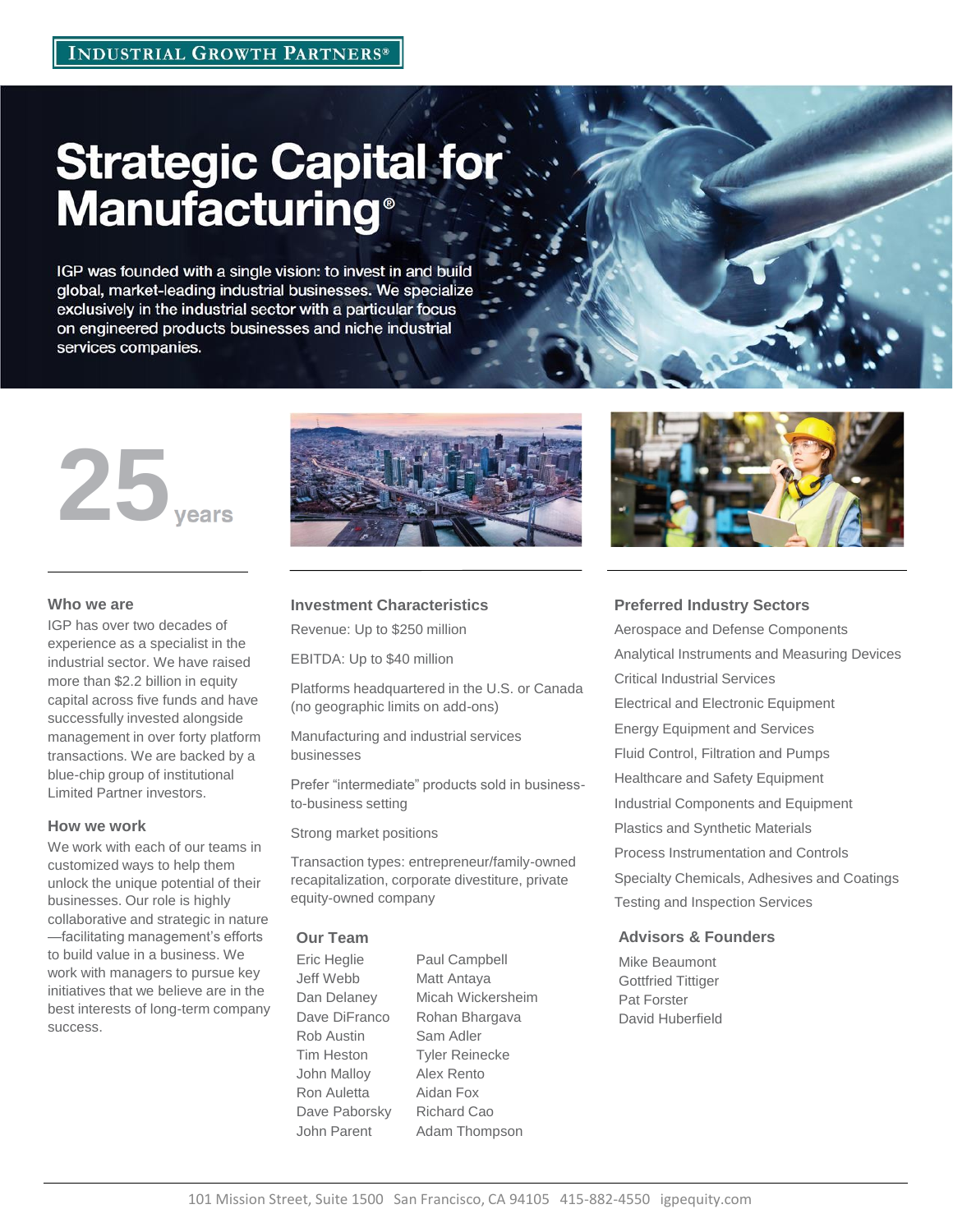# **Strategic Capital for<br>Manufacturing®**

IGP was founded with a single vision: to invest in and build global, market-leading industrial businesses. We specialize exclusively in the industrial sector with a particular focus on engineered products businesses and niche industrial services companies.



# **Who we are**

IGP has over two decades of experience as a specialist in the industrial sector. We have raised more than \$2.2 billion in equity capital across five funds and have successfully invested alongside management in over forty platform transactions. We are backed by a blue-chip group of institutional Limited Partner investors.

## **How we work**

success.

We work with each of our teams in customized ways to help them unlock the unique potential of their businesses. Our role is highly collaborative and strategic in nature —facilitating management's efforts to build value in a business. We work with managers to pursue key initiatives that we believe are in the best interests of long-term company



# **Investment Characteristics**

Revenue: Up to \$250 million

EBITDA: Up to \$40 million

Platforms headquartered in the U.S. or Canada (no geographic limits on add-ons)

Manufacturing and industrial services businesses

Prefer "intermediate" products sold in businessto-business setting

Strong market positions

Transaction types: entrepreneur/family-owned recapitalization, corporate divestiture, private equity-owned company

Eric Heglie Paul Campbell Jeff Webb Matt Antaya Dave DiFranco Rohan Bhargava Rob Austin Sam Adler Tim Heston Tyler Reinecke John Malloy Alex Rento Ron Auletta Aidan Fox Dave Paborsky Richard Cao John Parent Adam Thompson

Dan Delaney Micah Wickersheim



# **Preferred Industry Sectors**

Aerospace and Defense Components Analytical Instruments and Measuring Devices Critical Industrial Services Electrical and Electronic Equipment Energy Equipment and Services Fluid Control, Filtration and Pumps Healthcare and Safety Equipment Industrial Components and Equipment Plastics and Synthetic Materials Process Instrumentation and Controls Specialty Chemicals, Adhesives and Coatings Testing and Inspection Services

# **Our Team Advisors & Founders**

Mike Beaumont Gottfried Tittiger Pat Forster David Huberfield